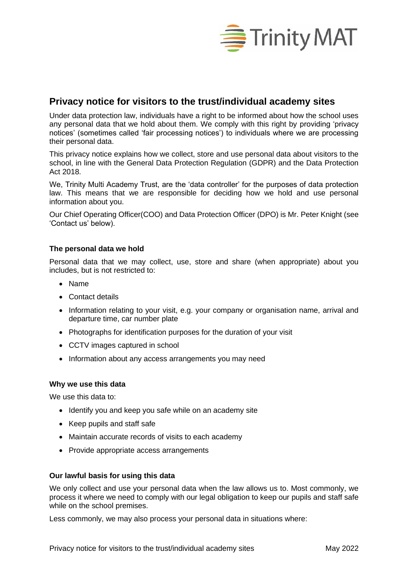

# **Privacy notice for visitors to the trust/individual academy sites**

Under data protection law, individuals have a right to be informed about how the school uses any personal data that we hold about them. We comply with this right by providing 'privacy notices' (sometimes called 'fair processing notices') to individuals where we are processing their personal data.

This privacy notice explains how we collect, store and use personal data about visitors to the school, in line with the General Data Protection Regulation (GDPR) and the Data Protection Act 2018.

We, Trinity Multi Academy Trust, are the 'data controller' for the purposes of data protection law. This means that we are responsible for deciding how we hold and use personal information about you.

Our Chief Operating Officer(COO) and Data Protection Officer (DPO) is Mr. Peter Knight (see 'Contact us' below).

# **The personal data we hold**

Personal data that we may collect, use, store and share (when appropriate) about you includes, but is not restricted to:

- Name
- Contact details
- Information relating to your visit, e.g. your company or organisation name, arrival and departure time, car number plate
- Photographs for identification purposes for the duration of your visit
- CCTV images captured in school
- Information about any access arrangements you may need

#### **Why we use this data**

We use this data to:

- Identify you and keep you safe while on an academy site
- Keep pupils and staff safe
- Maintain accurate records of visits to each academy
- Provide appropriate access arrangements

#### **Our lawful basis for using this data**

We only collect and use your personal data when the law allows us to. Most commonly, we process it where we need to comply with our legal obligation to keep our pupils and staff safe while on the school premises.

Less commonly, we may also process your personal data in situations where: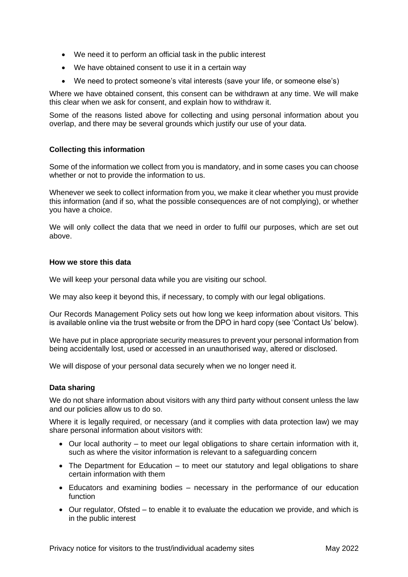- We need it to perform an official task in the public interest
- We have obtained consent to use it in a certain way
- We need to protect someone's vital interests (save your life, or someone else's)

Where we have obtained consent, this consent can be withdrawn at any time. We will make this clear when we ask for consent, and explain how to withdraw it.

Some of the reasons listed above for collecting and using personal information about you overlap, and there may be several grounds which justify our use of your data.

# **Collecting this information**

Some of the information we collect from you is mandatory, and in some cases you can choose whether or not to provide the information to us.

Whenever we seek to collect information from you, we make it clear whether you must provide this information (and if so, what the possible consequences are of not complying), or whether you have a choice.

We will only collect the data that we need in order to fulfil our purposes, which are set out above.

## **How we store this data**

We will keep your personal data while you are visiting our school.

We may also keep it beyond this, if necessary, to comply with our legal obligations.

Our Records Management Policy sets out how long we keep information about visitors. This is available online via the trust website or from the DPO in hard copy (see 'Contact Us' below).

We have put in place appropriate security measures to prevent your personal information from being accidentally lost, used or accessed in an unauthorised way, altered or disclosed.

We will dispose of your personal data securely when we no longer need it.

# **Data sharing**

We do not share information about visitors with any third party without consent unless the law and our policies allow us to do so.

Where it is legally required, or necessary (and it complies with data protection law) we may share personal information about visitors with:

- Our local authority to meet our legal obligations to share certain information with it, such as where the visitor information is relevant to a safeguarding concern
- The Department for Education to meet our statutory and legal obligations to share certain information with them
- Educators and examining bodies necessary in the performance of our education function
- Our regulator, Ofsted to enable it to evaluate the education we provide, and which is in the public interest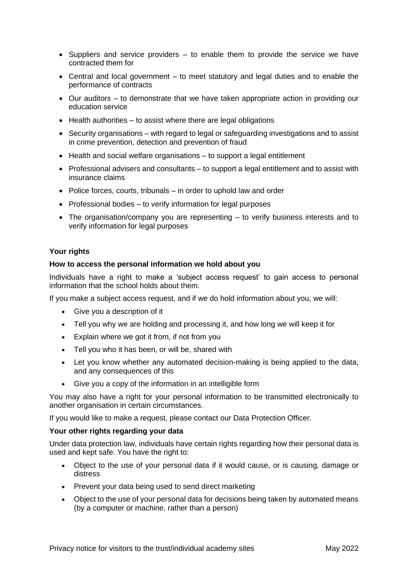- Suppliers and service providers to enable them to provide the service we have contracted them for
- Central and local government to meet statutory and legal duties and to enable the performance of contracts
- Our auditors to demonstrate that we have taken appropriate action in providing our education service
- Health authorities to assist where there are legal obligations
- Security organisations with regard to legal or safeguarding investigations and to assist in crime prevention, detection and prevention of fraud
- Health and social welfare organisations to support a legal entitlement
- Professional advisers and consultants to support a legal entitlement and to assist with insurance claims
- Police forces, courts, tribunals in order to uphold law and order
- Professional bodies to verify information for legal purposes
- The organisation/company you are representing to verify business interests and to verify information for legal purposes

## **Your rights**

#### **How to access the personal information we hold about you**

Individuals have a right to make a 'subject access request' to gain access to personal information that the school holds about them.

If you make a subject access request, and if we do hold information about you, we will:

- Give you a description of it
- Tell you why we are holding and processing it, and how long we will keep it for
- Explain where we got it from, if not from you
- Tell you who it has been, or will be, shared with
- Let you know whether any automated decision-making is being applied to the data, and any consequences of this
- Give you a copy of the information in an intelligible form

You may also have a right for your personal information to be transmitted electronically to another organisation in certain circumstances.

If you would like to make a request, please contact our Data Protection Officer.

#### **Your other rights regarding your data**

Under data protection law, individuals have certain rights regarding how their personal data is used and kept safe. You have the right to:

- Object to the use of your personal data if it would cause, or is causing, damage or distress
- Prevent your data being used to send direct marketing
- Object to the use of your personal data for decisions being taken by automated means (by a computer or machine, rather than a person)